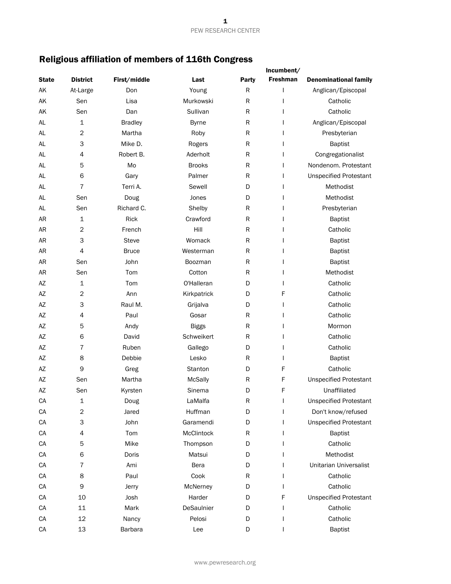# Religious affiliation of members of 116th Congress

|              |                 |                |               |              | Incumbent/      |                               |
|--------------|-----------------|----------------|---------------|--------------|-----------------|-------------------------------|
| <b>State</b> | <b>District</b> | First/middle   | Last          | <b>Party</b> | <b>Freshman</b> | <b>Denominational family</b>  |
| AK           | At-Large        | Don            | Young         | ${\sf R}$    | I               | Anglican/Episcopal            |
| AK           | Sen             | Lisa           | Murkowski     | R            | ı               | Catholic                      |
| AK           | Sen             | Dan            | Sullivan      | R            | I               | Catholic                      |
| AL           | $\mathbf 1$     | <b>Bradley</b> | <b>Byrne</b>  | R            | $\mathbf{I}$    | Anglican/Episcopal            |
| AL           | $\overline{c}$  | Martha         | Roby          | R            | I               | Presbyterian                  |
| <b>AL</b>    | 3               | Mike D.        | Rogers        | R            | $\mathbf{I}$    | <b>Baptist</b>                |
| AL           | 4               | Robert B.      | Aderholt      | ${\sf R}$    | I               | Congregationalist             |
| AL           | 5               | Mo             | <b>Brooks</b> | R            | I               | Nondenom. Protestant          |
| AL           | 6               | Gary           | Palmer        | R            | I               | <b>Unspecified Protestant</b> |
| AL           | $\overline{7}$  | Terri A.       | Sewell        | D            | $\mathbf{I}$    | Methodist                     |
| AL           | Sen             | Doug           | Jones         | D            | I               | Methodist                     |
| AL           | Sen             | Richard C.     | Shelby        | R            | I               | Presbyterian                  |
| <b>AR</b>    | 1               | Rick           | Crawford      | R            | $\mathbf{I}$    | <b>Baptist</b>                |
| <b>AR</b>    | 2               | French         | Hill          | ${\sf R}$    | I               | Catholic                      |
| <b>AR</b>    | 3               | <b>Steve</b>   | Womack        | R            |                 | <b>Baptist</b>                |
| <b>AR</b>    | 4               | <b>Bruce</b>   | Westerman     | R            |                 | <b>Baptist</b>                |
| <b>AR</b>    | Sen             | John           | Boozman       | R            |                 | <b>Baptist</b>                |
| <b>AR</b>    | Sen             | Tom            | Cotton        | R            | I               | Methodist                     |
| AZ           | 1               | Tom            | O'Halleran    | D            | $\mathbf{I}$    | Catholic                      |
| AZ           | $\overline{c}$  | Ann            | Kirkpatrick   | D            | F               | Catholic                      |
| AZ           | З               | Raul M.        | Grijalva      | D            | I               | Catholic                      |
| AZ           | 4               | Paul           | Gosar         | R            | I               | Catholic                      |
| AZ           | 5               | Andy           | <b>Biggs</b>  | ${\sf R}$    | I               | Mormon                        |
| AZ           | 6               | David          | Schweikert    | ${\sf R}$    | ı               | Catholic                      |
| AZ           | 7               | Ruben          | Gallego       | D            | I               | Catholic                      |
| AZ           | 8               | Debbie         | Lesko         | R            | I               | <b>Baptist</b>                |
| AZ           | 9               | Greg           | Stanton       | D            | F               | Catholic                      |
| AZ           | Sen             | Martha         | McSally       | R            | F               | <b>Unspecified Protestant</b> |
| AZ           | Sen             | Kyrsten        | Sinema        | D            | F               | Unaffiliated                  |
| CA           | 1               | Doug           | LaMalfa       | ${\sf R}$    |                 | <b>Unspecified Protestant</b> |
| CA           | $\sqrt{2}$      | Jared          | Huffman       | D            | I               | Don't know/refused            |
| CA           | 3               | John           | Garamendi     | D            | $\mathbf{I}$    | <b>Unspecified Protestant</b> |
| CA           | 4               | Tom            | McClintock    | R            |                 | <b>Baptist</b>                |
| CA           | 5               | Mike           | Thompson      | D            |                 | Catholic                      |
| CA           | 6               | Doris          | Matsui        | D            |                 | Methodist                     |
| CA           | $\overline{7}$  | Ami            | Bera          | D            | ı               | Unitarian Universalist        |
| CA           | 8               | Paul           | Cook          | R            |                 | Catholic                      |
| CA           | 9               | Jerry          | McNerney      | D            | $\mathbf{I}$    | Catholic                      |
| CA           | 10              | Josh           | Harder        | D            | F               | <b>Unspecified Protestant</b> |
| CA           | $11\,$          | Mark           | DeSaulnier    | D            | I               | Catholic                      |
| CA           | 12              | Nancy          | Pelosi        | D            | $\mathbf{I}$    | Catholic                      |
| CA           | 13              | Barbara        | Lee           | D            |                 | <b>Baptist</b>                |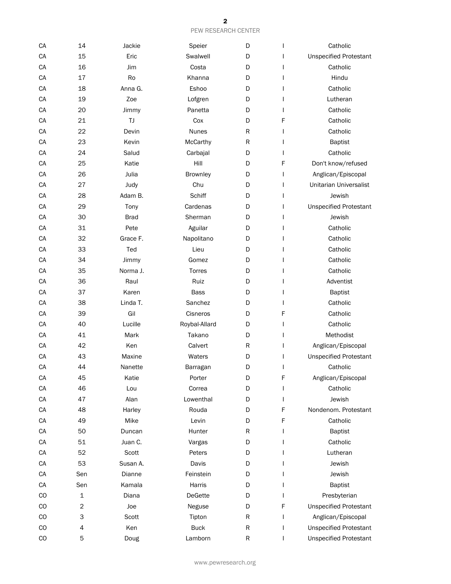| CA          | 14          | Jackie      | Speier        | D         | L            | Catholic                      |
|-------------|-------------|-------------|---------------|-----------|--------------|-------------------------------|
| CA          | 15          | Eric        | Swalwell      | D         |              | <b>Unspecified Protestant</b> |
| CA          | 16          | Jim         | Costa         | D         |              | Catholic                      |
| CA          | 17          | Ro          | Khanna        | D         |              | Hindu                         |
| CA          | 18          | Anna G.     | Eshoo         | D         |              | Catholic                      |
| CA          | 19          | Zoe         | Lofgren       | D         |              | Lutheran                      |
| CA          | 20          | Jimmy       | Panetta       | D         |              | Catholic                      |
| CA          | 21          | TJ          | Cox           | D         | F            | Catholic                      |
| CA          | 22          | Devin       | <b>Nunes</b>  | R         | L            | Catholic                      |
| CA          | 23          | Kevin       | McCarthy      | ${\sf R}$ | L            | <b>Baptist</b>                |
| CA          | 24          | Salud       | Carbajal      | D         | L            | Catholic                      |
| CA          | 25          | Katie       | Hill          | D         | F            | Don't know/refused            |
| CA          | 26          | Julia       | Brownley      | D         | L            | Anglican/Episcopal            |
| CA          | 27          | Judy        | Chu           | D         | L            | <b>Unitarian Universalist</b> |
| CA          | 28          | Adam B.     | Schiff        | D         | L            | Jewish                        |
| CA          | 29          | Tony        | Cardenas      | D         | L            | <b>Unspecified Protestant</b> |
| CA          | 30          | <b>Brad</b> | Sherman       | D         | L            | Jewish                        |
| CA          | 31          | Pete        | Aguilar       | D         |              | Catholic                      |
| CA          | 32          | Grace F.    | Napolitano    | D         |              | Catholic                      |
| CA          | 33          | Ted         | Lieu          | D         |              | Catholic                      |
| CA          | 34          | Jimmy       | Gomez         | D         |              | Catholic                      |
| CA          | 35          | Norma J.    | <b>Torres</b> | D         |              | Catholic                      |
| CA          | 36          | Raul        | Ruiz          | D         |              | Adventist                     |
| CA          | 37          | Karen       | Bass          | D         |              | <b>Baptist</b>                |
| CA          | 38          | Linda T.    | Sanchez       | D         |              | Catholic                      |
| CA          | 39          | Gil         | Cisneros      | D         | F            | Catholic                      |
| CA          | 40          | Lucille     | Roybal-Allard | D         | L            | Catholic                      |
| CA          | 41          | Mark        | Takano        | D         | L            | Methodist                     |
| CA          | 42          | Ken         | Calvert       | R         | L            | Anglican/Episcopal            |
| CA          | 43          | Maxine      | Waters        | D         |              | <b>Unspecified Protestant</b> |
| CA          | 44          | Nanette     | Barragan      | D         | L            | Catholic                      |
| CA          | 45          | Katie       | Porter        | D         | F            | Anglican/Episcopal            |
| CA          | 46          | Lou         | Correa        | D         |              | Catholic                      |
| CA          | 47          | Alan        | Lowenthal     | D         | L            | Jewish                        |
| CA          | 48          | Harley      | Rouda         | D         | F            | Nondenom. Protestant          |
| CA          | 49          | Mike        | Levin         | D         | F            | Catholic                      |
| CA          | 50          | Duncan      | Hunter        | R         |              | <b>Baptist</b>                |
| CA          | 51          | Juan C.     | Vargas        | D         |              | Catholic                      |
| CA          | 52          | Scott       | Peters        | D         |              | Lutheran                      |
| CA          | 53          | Susan A.    | Davis         | D         |              | Jewish                        |
| CA          | Sen         | Dianne      | Feinstein     | D         |              | Jewish                        |
| ${\sf CA}$  | Sen         | Kamala      | Harris        | D         |              | <b>Baptist</b>                |
| $_{\rm CO}$ | 1           | Diana       | DeGette       | D         |              | Presbyterian                  |
| $_{\rm CO}$ | $\mathbf 2$ | Joe         | Neguse        | D         | F            | <b>Unspecified Protestant</b> |
| $_{\rm CO}$ | 3           | Scott       | Tipton        | R         | $\mathsf{I}$ | Anglican/Episcopal            |
| CO          | 4           | Ken         | <b>Buck</b>   | ${\sf R}$ | L            | <b>Unspecified Protestant</b> |
| CO          | 5           | Doug        | Lamborn       | R         | $\mathbf{I}$ | <b>Unspecified Protestant</b> |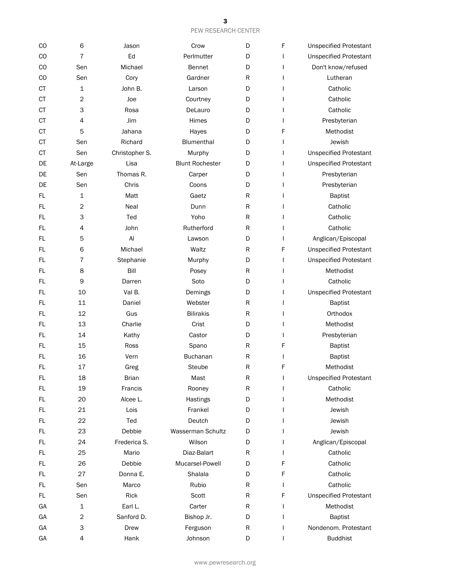| CO        | 6                | Jason          | Crow                   | D         | F | <b>Unspecified Protestant</b> |
|-----------|------------------|----------------|------------------------|-----------|---|-------------------------------|
| <b>CO</b> | $\overline{7}$   | Ed             | Perlmutter             | D         |   | <b>Unspecified Protestant</b> |
| <b>CO</b> | Sen              | Michael        | <b>Bennet</b>          | D         |   | Don't know/refused            |
| CO        | Sen              | Cory           | Gardner                | R         |   | Lutheran                      |
| СT        | $\mathbf{1}$     | John B.        | Larson                 | D         |   | Catholic                      |
| <b>CT</b> | $\overline{c}$   | Joe            | Courtney               | D         |   | Catholic                      |
| <b>CT</b> | 3                | Rosa           | DeLauro                | D         |   | Catholic                      |
| <b>CT</b> | 4                | Jim            | Himes                  | D         |   | Presbyterian                  |
| <b>CT</b> | 5                | Jahana         | Hayes                  | D         | F | Methodist                     |
| СT        | Sen              | Richard        | Blumenthal             | D         |   | Jewish                        |
| <b>CT</b> | Sen              | Christopher S. | Murphy                 | D         |   | <b>Unspecified Protestant</b> |
| DE        | At-Large         | Lisa           | <b>Blunt Rochester</b> | D         |   | <b>Unspecified Protestant</b> |
| DE        | Sen              | Thomas R.      | Carper                 | D         |   | Presbyterian                  |
| DE        | Sen              | Chris          | Coons                  | D         |   | Presbyterian                  |
| FL        | 1                | Matt           | Gaetz                  | ${\sf R}$ |   | <b>Baptist</b>                |
| FL        | $\overline{c}$   | Neal           | Dunn                   | R         |   | Catholic                      |
| FL        | 3                | Ted            | Yoho                   | R         |   | Catholic                      |
| FL        | 4                | John           | Rutherford             | R         |   | Catholic                      |
| FL.       | 5                | Al             | Lawson                 | D         |   | Anglican/Episcopal            |
| FL        | 6                | Michael        | Waltz                  | ${\sf R}$ | F | <b>Unspecified Protestant</b> |
| FL        | $\overline{7}$   | Stephanie      | Murphy                 | D         |   | <b>Unspecified Protestant</b> |
| FL        | 8                | Bill           | Posey                  | R         |   | Methodist                     |
| FL        | 9                | Darren         | Soto                   | D         |   | Catholic                      |
| FL        | 10               | Val B.         | Demings                | D         |   | <b>Unspecified Protestant</b> |
| FL        | 11               | Daniel         | Webster                | R         |   | <b>Baptist</b>                |
| FL        | 12               | Gus            | <b>Bilirakis</b>       | R         |   | Orthodox                      |
| FL        | 13               | Charlie        | Crist                  | D         |   | Methodist                     |
| FL        | 14               | Kathy          | Castor                 | D         |   | Presbyterian                  |
| FL        | 15               | Ross           | Spano                  | ${\sf R}$ | F | <b>Baptist</b>                |
| FL        | 16               | Vern           | <b>Buchanan</b>        | R         |   | <b>Baptist</b>                |
| FL        | 17               | Greg           | <b>Steube</b>          | ${\sf R}$ | F | Methodist                     |
| FL        | 18               | <b>Brian</b>   | Mast                   | R         |   | <b>Unspecified Protestant</b> |
| FL        | 19               | Francis        | Rooney                 | R         |   | Catholic                      |
| FL.       | 20               | Alcee L.       | Hastings               | D         |   | Methodist                     |
| FL        | 21               | Lois           | Frankel                | D         |   | Jewish                        |
| FL        | 22               | Ted            | Deutch                 | D         |   | Jewish                        |
| FL        | 23               | Debbie         | Wasserman Schultz      | D         |   | Jewish                        |
| FL        | 24               | Frederica S.   | Wilson                 | D         |   | Anglican/Episcopal            |
| FL        | 25               | Mario          | Diaz-Balart            | R         |   | Catholic                      |
| FL        | 26               | Debbie         | Mucarsel-Powell        | D         | F | Catholic                      |
| FL        | 27               | Donna E.       | Shalala                | D         | F | Catholic                      |
| FL        | Sen              | Marco          | Rubio                  | R         | L | Catholic                      |
| FL        | Sen              | Rick           | Scott                  | R         | F | <b>Unspecified Protestant</b> |
| GА        | 1                | Earl L.        | Carter                 | R         | L | Methodist                     |
| GА        | $\boldsymbol{2}$ | Sanford D.     | Bishop Jr.             | D         |   | <b>Baptist</b>                |
| GА        | 3                | Drew           | Ferguson               | ${\sf R}$ |   | Nondenom. Protestant          |
| GА        | 4                | Hank           | Johnson                | D         |   | <b>Buddhist</b>               |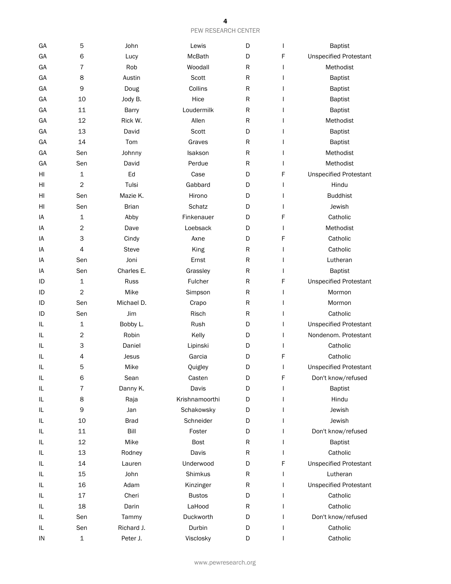| GA | 5                | John         | Lewis          | D         |   | <b>Baptist</b>                |
|----|------------------|--------------|----------------|-----------|---|-------------------------------|
| GA | 6                | Lucy         | McBath         | D         | F | <b>Unspecified Protestant</b> |
| GA | $\overline{7}$   | Rob          | Woodall        | ${\sf R}$ |   | Methodist                     |
| GA | 8                | Austin       | Scott          | ${\sf R}$ |   | <b>Baptist</b>                |
| GA | 9                | Doug         | Collins        | ${\sf R}$ |   | <b>Baptist</b>                |
| GA | 10               | Jody B.      | Hice           | R         |   | <b>Baptist</b>                |
| GA | 11               | <b>Barry</b> | Loudermilk     | ${\sf R}$ |   | <b>Baptist</b>                |
| GA | 12               | Rick W.      | Allen          | R         |   | Methodist                     |
| GA | 13               | David        | Scott          | D         |   | <b>Baptist</b>                |
| GA | 14               | Tom          | Graves         | ${\sf R}$ |   | <b>Baptist</b>                |
| GA | Sen              | Johnny       | Isakson        | ${\sf R}$ |   | Methodist                     |
| GA | Sen              | David        | Perdue         | ${\sf R}$ |   | Methodist                     |
| HI | $\mathbf{1}$     | Ed           | Case           | D         | F | <b>Unspecified Protestant</b> |
| HI | $\overline{c}$   | Tulsi        | Gabbard        | D         |   | Hindu                         |
| HI | Sen              | Mazie K.     | Hirono         | D         |   | <b>Buddhist</b>               |
| HI | Sen              | <b>Brian</b> | Schatz         | D         |   | Jewish                        |
| IA | $\mathbf{1}$     | Abby         | Finkenauer     | D         | F | Catholic                      |
| IA | $\boldsymbol{2}$ | Dave         | Loebsack       | D         | I | Methodist                     |
| IA | 3                | Cindy        | Axne           | D         | F | Catholic                      |
| IA | 4                | <b>Steve</b> | King           | R         |   | Catholic                      |
| IA | Sen              | Joni         | Ernst          | R         |   | Lutheran                      |
| IA | Sen              | Charles E.   | Grassley       | R         |   | <b>Baptist</b>                |
| ID | $\mathbf 1$      | Russ         | Fulcher        | ${\sf R}$ | F | <b>Unspecified Protestant</b> |
| ID | $\overline{c}$   | Mike         | Simpson        | ${\sf R}$ |   | Mormon                        |
| ID | Sen              | Michael D.   | Crapo          | R         |   | Mormon                        |
| ID | Sen              | Jim          | Risch          | R         |   | Catholic                      |
| IL | $\mathbf{1}$     | Bobby L.     | Rush           | D         |   | <b>Unspecified Protestant</b> |
| IL | $\mathbf{2}$     | Robin        | Kelly          | D         | L | Nondenom. Protestant          |
| IL | 3                | Daniel       | Lipinski       | D         | I | Catholic                      |
| IL | 4                | Jesus        | Garcia         | D         | F | Catholic                      |
| IL | 5                | Mike         | Quigley        | D         |   | <b>Unspecified Protestant</b> |
| IL | 6                | Sean         | Casten         | D         | F | Don't know/refused            |
| IL | 7                | Danny K.     | Davis          | D         |   | Baptist                       |
| IL | 8                | Raja         | Krishnamoorthi | D         |   | Hindu                         |
| IL | 9                | Jan          | Schakowsky     | D         |   | Jewish                        |
| IL | 10               | <b>Brad</b>  | Schneider      | D         |   | Jewish                        |
| IL | $11\,$           | Bill         | Foster         | D         |   | Don't know/refused            |
| IL | 12               | Mike         | <b>Bost</b>    | R         |   | <b>Baptist</b>                |
| IL | 13               | Rodney       | Davis          | R         |   | Catholic                      |
| IL | 14               | Lauren       | Underwood      | D         | F | <b>Unspecified Protestant</b> |
| IL | 15               | John         | Shimkus        | R         |   | Lutheran                      |
| IL | 16               | Adam         | Kinzinger      | R         |   | <b>Unspecified Protestant</b> |
| IL | 17               | Cheri        | <b>Bustos</b>  | D         |   | Catholic                      |
| IL | 18               | Darin        | LaHood         | R         |   | Catholic                      |
| IL | Sen              | Tammy        | Duckworth      | D         |   | Don't know/refused            |
| IL | Sen              | Richard J.   | Durbin         | D         |   | Catholic                      |
| IN | 1                | Peter J.     | Visclosky      | D         |   | Catholic                      |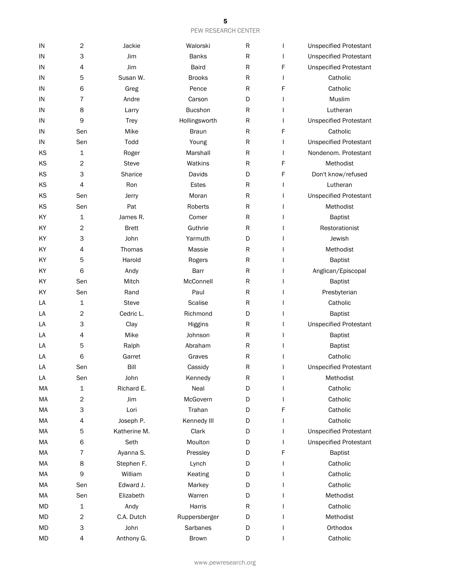| IN | $\mathbf 2$             | Jackie       | Walorski       | R         |              | <b>Unspecified Protestant</b> |
|----|-------------------------|--------------|----------------|-----------|--------------|-------------------------------|
| IN | 3                       | Jim          | <b>Banks</b>   | ${\sf R}$ |              | <b>Unspecified Protestant</b> |
| IN | 4                       | Jim          | Baird          | ${\sf R}$ | F            | <b>Unspecified Protestant</b> |
| IN | 5                       | Susan W.     | <b>Brooks</b>  | R         | L            | Catholic                      |
| IN | 6                       | Greg         | Pence          | R         | F            | Catholic                      |
| IN | 7                       | Andre        | Carson         | D         |              | Muslim                        |
| IN | 8                       | Larry        | <b>Bucshon</b> | R         |              | Lutheran                      |
| IN | 9                       | <b>Trey</b>  | Hollingsworth  | R         |              | <b>Unspecified Protestant</b> |
| IN | Sen                     | Mike         | <b>Braun</b>   | R         | F            | Catholic                      |
| IN | Sen                     | Todd         | Young          | R         |              | <b>Unspecified Protestant</b> |
| KS | 1                       | Roger        | Marshall       | R         | $\mathbf{I}$ | Nondenom. Protestant          |
| ΚS | 2                       | <b>Steve</b> | Watkins        | R         | F            | Methodist                     |
| KS | 3                       | Sharice      | Davids         | D         | F            | Don't know/refused            |
| KS | 4                       | Ron          | <b>Estes</b>   | R         |              | Lutheran                      |
| KS | Sen                     | Jerry        | Moran          | R         |              | <b>Unspecified Protestant</b> |
| KS | Sen                     | Pat          | Roberts        | R         |              | Methodist                     |
| KY | 1                       | James R.     | Comer          | ${\sf R}$ |              | <b>Baptist</b>                |
| KY | 2                       | <b>Brett</b> | Guthrie        | R         |              | Restorationist                |
| KY | 3                       | John         | Yarmuth        | D         |              | Jewish                        |
| KY | $\overline{4}$          | Thomas       | Massie         | R         |              | Methodist                     |
| KY | 5                       | Harold       | Rogers         | R         |              | <b>Baptist</b>                |
| KY | 6                       | Andy         | Barr           | ${\sf R}$ |              | Anglican/Episcopal            |
| KY | Sen                     | Mitch        | McConnell      | ${\sf R}$ |              | <b>Baptist</b>                |
| KY | Sen                     | Rand         | Paul           | R         |              | Presbyterian                  |
| LA | 1                       | <b>Steve</b> | <b>Scalise</b> | R         |              | Catholic                      |
| LA | 2                       | Cedric L.    | Richmond       | D         |              | <b>Baptist</b>                |
| LA | 3                       | Clay         | Higgins        | R         |              | <b>Unspecified Protestant</b> |
| LA | 4                       | Mike         | Johnson        | R         |              | <b>Baptist</b>                |
| LA | 5                       | Ralph        | Abraham        | ${\sf R}$ |              | <b>Baptist</b>                |
| LA | 6                       | Garret       | Graves         | R         |              | Catholic                      |
| LA | Sen                     | Bill         | Cassidy        | R         |              | <b>Unspecified Protestant</b> |
| LA | Sen                     | John         | Kennedy        | R         |              | Methodist                     |
| MA | 1                       | Richard E.   | Neal           | D         |              | Catholic                      |
| MA | $\overline{c}$          | Jim          | McGovern       | D         |              | Catholic                      |
| MA | 3                       | Lori         | Trahan         | D         | F            | Catholic                      |
| MA | 4                       | Joseph P.    | Kennedy III    | D         |              | Catholic                      |
| MA | 5                       | Katherine M. | Clark          | D         |              | <b>Unspecified Protestant</b> |
| MA | 6                       | Seth         | Moulton        | D         |              | <b>Unspecified Protestant</b> |
| MA | $\overline{7}$          | Ayanna S.    | Pressley       | D         | F            | <b>Baptist</b>                |
| MA | 8                       | Stephen F.   | Lynch          | D         |              | Catholic                      |
| MA | 9                       | William      | Keating        | D         |              | Catholic                      |
| MA | Sen                     | Edward J.    | Markey         | D         |              | Catholic                      |
| MA | Sen                     | Elizabeth    | Warren         | D         |              | Methodist                     |
| MD | 1                       | Andy         | Harris         | R         |              | Catholic                      |
| MD | $\overline{\mathbf{c}}$ | C.A. Dutch   | Ruppersberger  | D         |              | Methodist                     |
| MD | 3                       | John         | Sarbanes       | D         |              | Orthodox                      |
| MD | 4                       | Anthony G.   | Brown          | D         |              | Catholic                      |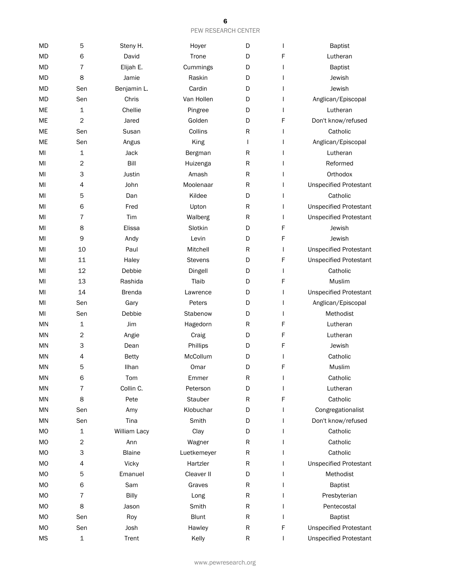| MD        | 5              | Steny H.      | Hoyer          | D         | $\mathbf{I}$ | <b>Baptist</b>                |
|-----------|----------------|---------------|----------------|-----------|--------------|-------------------------------|
| <b>MD</b> | 6              | David         | Trone          | D         | F            | Lutheran                      |
| <b>MD</b> | $\overline{7}$ | Elijah E.     | Cummings       | D         |              | <b>Baptist</b>                |
| <b>MD</b> | 8              | Jamie         | Raskin         | D         |              | Jewish                        |
| <b>MD</b> | Sen            | Benjamin L.   | Cardin         | D         | $\mathsf{l}$ | Jewish                        |
| MD        | Sen            | Chris         | Van Hollen     | D         |              | Anglican/Episcopal            |
| ME        | 1              | Chellie       | Pingree        | D         | $\mathsf{l}$ | Lutheran                      |
| ME        | $\overline{c}$ | Jared         | Golden         | D         | F            | Don't know/refused            |
| ME        | Sen            | Susan         | Collins        | R         | $\mathbf{I}$ | Catholic                      |
| ME        | Sen            | Angus         | King           | I         |              | Anglican/Episcopal            |
| MI        | 1              | Jack          | Bergman        | R         |              | Lutheran                      |
| MI        | $\overline{c}$ | Bill          | Huizenga       | R         | $\mathbf{I}$ | Reformed                      |
| MI        | 3              | Justin        | Amash          | R         | $\mathbf{I}$ | Orthodox                      |
| MI        | 4              | John          | Moolenaar      | R         |              | <b>Unspecified Protestant</b> |
| MI        | 5              | Dan           | Kildee         | D         | $\mathsf{l}$ | Catholic                      |
| MI        | 6              | Fred          | Upton          | R         | $\mathbf{I}$ | <b>Unspecified Protestant</b> |
| MI        | 7              | Tim           | Walberg        | R         | L            | <b>Unspecified Protestant</b> |
| MI        | 8              | Elissa        | Slotkin        | D         | F            | Jewish                        |
| MI        | 9              | Andy          | Levin          | D         | F            | Jewish                        |
| MI        | 10             | Paul          | Mitchell       | R         | L            | <b>Unspecified Protestant</b> |
| MI        | 11             | Haley         | <b>Stevens</b> | D         | F            | <b>Unspecified Protestant</b> |
| MI        | 12             | Debbie        | Dingell        | D         | I            | Catholic                      |
| MI        | 13             | Rashida       | Tlaib          | D         | F            | Muslim                        |
| MI        | 14             | <b>Brenda</b> | Lawrence       | D         | L            | <b>Unspecified Protestant</b> |
| MI        | Sen            | Gary          | Peters         | D         | $\mathbf{I}$ | Anglican/Episcopal            |
| MI        | Sen            | Debbie        | Stabenow       | D         | $\mathbf{I}$ | Methodist                     |
| <b>MN</b> | 1              | Jim           | Hagedorn       | R         | F            | Lutheran                      |
| <b>MN</b> | $\mathbf 2$    | Angie         | Craig          | D         | F            | Lutheran                      |
| ΜN        | 3              | Dean          | Phillips       | D         | F            | Jewish                        |
| ΜN        | 4              | <b>Betty</b>  | McCollum       | D         | $\mathsf{l}$ | Catholic                      |
| MN        | 5              | Ilhan         | Omar           | D         | F            | Muslim                        |
| MN        | 6              | Tom           | Emmer          | R         |              | Catholic                      |
| MN        | 7              | Collin C.     | Peterson       | D         |              | Lutheran                      |
| MN        | 8              | Pete          | Stauber        | R         | F            | Catholic                      |
| <b>MN</b> | Sen            | Amy           | Klobuchar      | D         | $\mathbf{I}$ | Congregationalist             |
| MN        | Sen            | Tina          | Smith          | D         | $\mathbf{I}$ | Don't know/refused            |
| <b>MO</b> | 1              | William Lacy  | Clay           | D         | $\mathbf{I}$ | Catholic                      |
| <b>MO</b> | $\overline{c}$ | Ann           | Wagner         | R         | $\mathbf{I}$ | Catholic                      |
| MO        | 3              | <b>Blaine</b> | Luetkemeyer    | R         | $\mathbf{I}$ | Catholic                      |
| <b>MO</b> | 4              | Vicky         | Hartzler       | R         | L            | <b>Unspecified Protestant</b> |
| MO        | 5              | Emanuel       | Cleaver II     | D         |              | Methodist                     |
| <b>MO</b> | 6              | Sam           | Graves         | R         |              | <b>Baptist</b>                |
| <b>MO</b> | 7              | <b>Billy</b>  | Long           | R         | $\mathbf{I}$ | Presbyterian                  |
| MO        | 8              | Jason         | Smith          | ${\sf R}$ | $\mathbf{I}$ | Pentecostal                   |
| <b>MO</b> | Sen            | Roy           | <b>Blunt</b>   | ${\sf R}$ | $\mathbf{I}$ | <b>Baptist</b>                |
| <b>MO</b> | Sen            | Josh          | Hawley         | R         | F            | <b>Unspecified Protestant</b> |
| <b>MS</b> | $\mathbf 1$    | Trent         | Kelly          | R         | $\mathsf{I}$ | <b>Unspecified Protestant</b> |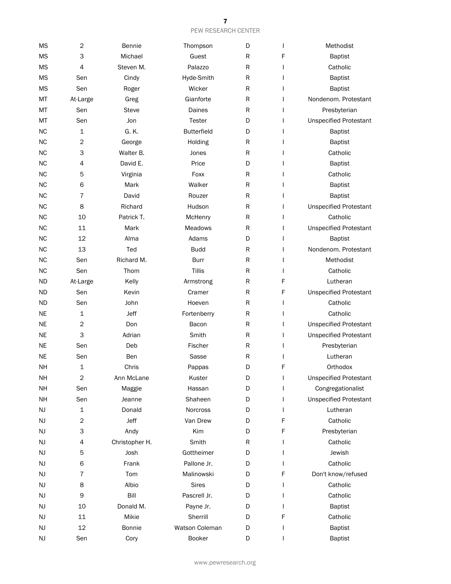| <b>MS</b> | $\mathbf 2$      | Bennie         | Thompson       | D |              | Methodist                     |
|-----------|------------------|----------------|----------------|---|--------------|-------------------------------|
| <b>MS</b> | 3                | Michael        | Guest          | R | F            | <b>Baptist</b>                |
| <b>MS</b> | $\overline{4}$   | Steven M.      | Palazzo        | R |              | Catholic                      |
| <b>MS</b> | Sen              | Cindy          | Hyde-Smith     | R |              | <b>Baptist</b>                |
| <b>MS</b> | Sen              | Roger          | Wicker         | R |              | <b>Baptist</b>                |
| MT        | At-Large         | Greg           | Gianforte      | R |              | Nondenom. Protestant          |
| MT        | Sen              | <b>Steve</b>   | Daines         | R |              | Presbyterian                  |
| MT        | Sen              | Jon            | <b>Tester</b>  | D |              | <b>Unspecified Protestant</b> |
| <b>NC</b> | 1                | G. K.          | Butterfield    | D |              | <b>Baptist</b>                |
| <b>NC</b> | $\mathbf 2$      | George         | Holding        | R |              | <b>Baptist</b>                |
| <b>NC</b> | 3                | Walter B.      | Jones          | R |              | Catholic                      |
| <b>NC</b> | 4                | David E.       | Price          | D |              | <b>Baptist</b>                |
| <b>NC</b> | 5                | Virginia       | Foxx           | R |              | Catholic                      |
| <b>NC</b> | 6                | Mark           | Walker         | R |              | <b>Baptist</b>                |
| <b>NC</b> | 7                | David          | Rouzer         | R | I            | <b>Baptist</b>                |
| <b>NC</b> | 8                | Richard        | Hudson         | R | $\mathsf{l}$ | <b>Unspecified Protestant</b> |
| <b>NC</b> | 10               | Patrick T.     | McHenry        | R | $\mathsf{l}$ | Catholic                      |
| <b>NC</b> | 11               | Mark           | <b>Meadows</b> | R | $\mathsf{l}$ | <b>Unspecified Protestant</b> |
| <b>NC</b> | 12               | Alma           | Adams          | D | I            | <b>Baptist</b>                |
| <b>NC</b> | 13               | Ted            | <b>Budd</b>    | R | I            | Nondenom. Protestant          |
| <b>NC</b> | Sen              | Richard M.     | <b>Burr</b>    | R | $\mathsf{l}$ | Methodist                     |
| <b>NC</b> | Sen              | Thom           | <b>Tillis</b>  | R | $\mathsf{I}$ | Catholic                      |
| <b>ND</b> | At-Large         | Kelly          | Armstrong      | R | F            | Lutheran                      |
| <b>ND</b> | Sen              | Kevin          | Cramer         | R | F            | <b>Unspecified Protestant</b> |
| ND        | Sen              | John           | Hoeven         | R | $\mathsf{l}$ | Catholic                      |
| NE.       | $\mathbf 1$      | Jeff           | Fortenberry    | R | $\mathsf{l}$ | Catholic                      |
| <b>NE</b> | $\mathbf{2}$     | Don            | Bacon          | R | I            | <b>Unspecified Protestant</b> |
| <b>NE</b> | 3                | Adrian         | Smith          | R | I            | <b>Unspecified Protestant</b> |
| <b>NE</b> | Sen              | Deb            | Fischer        | R | $\mathsf{l}$ | Presbyterian                  |
| <b>NE</b> | Sen              | Ben            | Sasse          | R |              | Lutheran                      |
| <b>NH</b> | $\mathbf 1$      | Chris          | Pappas         | D | F            | Orthodox                      |
| NH        | $\sqrt{2}$       | Ann McLane     | Kuster         | D | I            | <b>Unspecified Protestant</b> |
| NH        | Sen              | Maggie         | Hassan         | D |              | Congregationalist             |
| NH        | Sen              | Jeanne         | Shaheen        | D | I            | <b>Unspecified Protestant</b> |
| NJ        | 1                | Donald         | Norcross       | D | I            | Lutheran                      |
| NJ        | $\boldsymbol{2}$ | Jeff           | Van Drew       | D | F            | Catholic                      |
| NJ        | 3                | Andy           | Kim            | D | F            | Presbyterian                  |
| NJ        | 4                | Christopher H. | Smith          | R |              | Catholic                      |
| NJ        | 5                | Josh           | Gottheimer     | D |              | Jewish                        |
| NJ        | 6                | Frank          | Pallone Jr.    | D |              | Catholic                      |
| NJ        | 7                | Tom            | Malinowski     | D | F            | Don't know/refused            |
| NJ        | 8                | Albio          | <b>Sires</b>   | D |              | Catholic                      |
| NJ        | 9                | Bill           | Pascrell Jr.   | D |              | Catholic                      |
| NJ        | 10               | Donald M.      | Payne Jr.      | D |              | <b>Baptist</b>                |
| NJ        | $11\,$           | Mikie          | Sherrill       | D | F            | Catholic                      |
| NJ        | 12               | <b>Bonnie</b>  | Watson Coleman | D | $\mathsf{l}$ | <b>Baptist</b>                |
| NJ        | Sen              | Cory           | Booker         | D | $\mathsf{l}$ | <b>Baptist</b>                |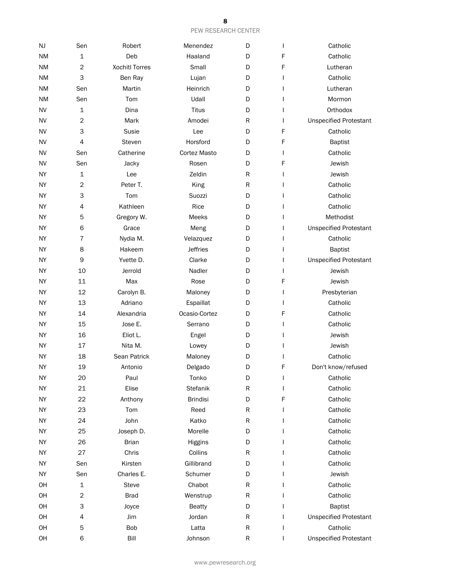| NJ        | Sen            | Robert                | Menendez        | D         | $\mathsf{l}$ | Catholic                      |
|-----------|----------------|-----------------------|-----------------|-----------|--------------|-------------------------------|
| <b>NM</b> | $\mathbf{1}$   | Deb                   | Haaland         | D         | F            | Catholic                      |
| <b>NM</b> | $\overline{c}$ | <b>Xochitl Torres</b> | Small           | D         | F            | Lutheran                      |
| <b>NM</b> | 3              | Ben Ray               | Lujan           | D         |              | Catholic                      |
| <b>NM</b> | Sen            | Martin                | Heinrich        | D         |              | Lutheran                      |
| ΝM        | Sen            | Tom                   | Udall           | D         |              | Mormon                        |
| <b>NV</b> | $\mathbf 1$    | Dina                  | <b>Titus</b>    | D         |              | Orthodox                      |
| <b>NV</b> | $\mathbf 2$    | Mark                  | Amodei          | R         | $\mathbf{I}$ | <b>Unspecified Protestant</b> |
| <b>NV</b> | 3              | Susie                 | Lee             | D         | F            | Catholic                      |
| <b>NV</b> | $\overline{4}$ | Steven                | Horsford        | D         | F            | <b>Baptist</b>                |
| <b>NV</b> | Sen            | Catherine             | Cortez Masto    | D         |              | Catholic                      |
| <b>NV</b> | Sen            | Jacky                 | Rosen           | D         | F            | Jewish                        |
| <b>NY</b> | $\mathbf 1$    | Lee                   | Zeldin          | ${\sf R}$ | $\mathbf{I}$ | Jewish                        |
| <b>NY</b> | $\mathbf 2$    | Peter T.              | King            | ${\sf R}$ |              | Catholic                      |
| <b>NY</b> | 3              | Tom                   | Suozzi          | D         |              | Catholic                      |
| <b>NY</b> | 4              | Kathleen              | Rice            | D         |              | Catholic                      |
| <b>NY</b> | 5              | Gregory W.            | Meeks           | D         |              | Methodist                     |
| <b>NY</b> | 6              | Grace                 | Meng            | D         | $\mathsf{l}$ | <b>Unspecified Protestant</b> |
| <b>NY</b> | $\overline{7}$ | Nydia M.              | Velazquez       | D         | $\mathbf{I}$ | Catholic                      |
| <b>NY</b> | 8              | Hakeem                | <b>Jeffries</b> | D         | $\mathbf{I}$ | <b>Baptist</b>                |
| <b>NY</b> | 9              | Yvette D.             | Clarke          | D         |              | <b>Unspecified Protestant</b> |
| <b>NY</b> | 10             | Jerrold               | Nadler          | D         | $\mathbf{I}$ | Jewish                        |
| <b>NY</b> | 11             | Max                   | Rose            | D         | F            | Jewish                        |
| <b>NY</b> | 12             | Carolyn B.            | Maloney         | D         | $\mathsf{I}$ | Presbyterian                  |
| <b>NY</b> | 13             | Adriano               | Espaillat       | D         | $\mathbf{I}$ | Catholic                      |
| <b>NY</b> | 14             | Alexandria            | Ocasio-Cortez   | D         | F            | Catholic                      |
| <b>NY</b> | 15             | Jose E.               | Serrano         | D         | I            | Catholic                      |
| NΥ        | 16             | Eliot L.              | Engel           | D         |              | Jewish                        |
| <b>NY</b> | 17             | Nita M.               | Lowey           | D         |              | Jewish                        |
| <b>NY</b> | 18             | Sean Patrick          | Maloney         | D         |              | Catholic                      |
| <b>NY</b> | 19             | Antonio               | Delgado         | D         | F            | Don't know/refused            |
| <b>NY</b> | 20             | Paul                  | Tonko           | D         | ı            | Catholic                      |
| <b>NY</b> | 21             | Elise                 | Stefanik        | R         | $\mathsf{l}$ | Catholic                      |
| NY        | 22             | Anthony               | <b>Brindisi</b> | D         | F            | Catholic                      |
| <b>NY</b> | 23             | Tom                   | Reed            | R         |              | Catholic                      |
| <b>NY</b> | 24             | John                  | Katko           | R         |              | Catholic                      |
| <b>NY</b> | 25             | Joseph D.             | Morelle         | D         |              | Catholic                      |
| <b>NY</b> | 26             | <b>Brian</b>          | Higgins         | D         |              | Catholic                      |
| <b>NY</b> | 27             | Chris                 | Collins         | R         |              | Catholic                      |
| <b>NY</b> | Sen            | Kirsten               | Gillibrand      | D         |              | Catholic                      |
| <b>NY</b> | Sen            | Charles E.            | Schumer         | D         |              | Jewish                        |
| OH        | 1              | <b>Steve</b>          | Chabot          | R         |              | Catholic                      |
| OH        | $\mathbf 2$    | <b>Brad</b>           | Wenstrup        | ${\sf R}$ |              | Catholic                      |
| OH        | 3              | Joyce                 | <b>Beatty</b>   | D         | $\mathsf{l}$ | <b>Baptist</b>                |
| OH        | 4              | Jim                   | Jordan          | ${\sf R}$ |              | <b>Unspecified Protestant</b> |
| OH        | 5              | <b>Bob</b>            | Latta           | ${\sf R}$ | I            | Catholic                      |
| OH        | 6              | Bill                  | Johnson         | ${\sf R}$ | I            | <b>Unspecified Protestant</b> |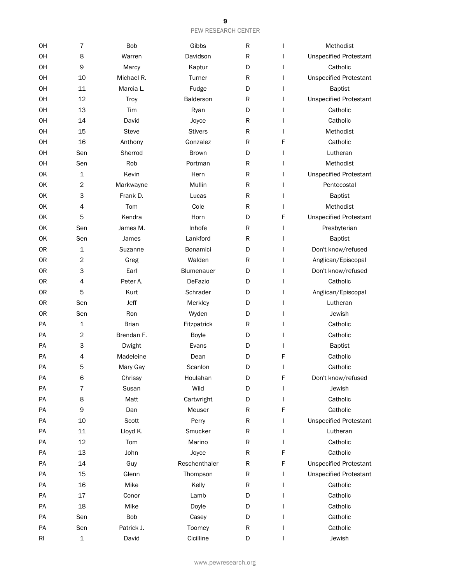| OH | 7              | <b>Bob</b>   | Gibbs          | R           |              | Methodist                     |
|----|----------------|--------------|----------------|-------------|--------------|-------------------------------|
| OH | 8              | Warren       | Davidson       | R           |              | <b>Unspecified Protestant</b> |
| OH | 9              | Marcy        | Kaptur         | D           | $\mathsf{l}$ | Catholic                      |
| OH | 10             | Michael R.   | Turner         | R           | $\mathbf{I}$ | <b>Unspecified Protestant</b> |
| OH | 11             | Marcia L.    | Fudge          | D           | $\mathbf{I}$ | <b>Baptist</b>                |
| OH | 12             | Troy         | Balderson      | R           | $\mathsf{l}$ | <b>Unspecified Protestant</b> |
| OH | 13             | Tim          | Ryan           | D           |              | Catholic                      |
| OH | 14             | David        | Joyce          | R           |              | Catholic                      |
| OH | 15             | <b>Steve</b> | <b>Stivers</b> | R           |              | Methodist                     |
| OН | 16             | Anthony      | Gonzalez       | $\mathsf R$ | F            | Catholic                      |
| OH | Sen            | Sherrod      | <b>Brown</b>   | D           | $\mathbf{I}$ | Lutheran                      |
| OH | Sen            | Rob          | Portman        | $\mathsf R$ |              | Methodist                     |
| OK | $\mathbf 1$    | Kevin        | Hern           | $\mathsf R$ | $\mathsf{l}$ | <b>Unspecified Protestant</b> |
| OK | $\overline{2}$ | Markwayne    | Mullin         | R           | L            | Pentecostal                   |
| OK | 3              | Frank D.     | Lucas          | $\mathsf R$ |              | <b>Baptist</b>                |
| OK | 4              | Tom          | Cole           | R           |              | Methodist                     |
| OK | 5              | Kendra       | Horn           | D           | F            | <b>Unspecified Protestant</b> |
| OK | Sen            | James M.     | Inhofe         | R           | T            | Presbyterian                  |
| OK | Sen            | James        | Lankford       | R           | $\mathsf{l}$ | <b>Baptist</b>                |
| 0R | $\mathbf 1$    | Suzanne      | Bonamici       | D           |              | Don't know/refused            |
| 0R | $\overline{2}$ | Greg         | Walden         | R           |              | Anglican/Episcopal            |
| 0R | 3              | Earl         | Blumenauer     | D           | $\mathsf{l}$ | Don't know/refused            |
| 0R | 4              | Peter A.     | DeFazio        | D           | ı            | Catholic                      |
| 0R | 5              | Kurt         | Schrader       | D           |              | Anglican/Episcopal            |
| 0R | Sen            | Jeff         | Merkley        | D           |              | Lutheran                      |
| 0R | Sen            | Ron          | Wyden          | D           |              | Jewish                        |
| PA | $\mathbf 1$    | <b>Brian</b> | Fitzpatrick    | R           |              | Catholic                      |
| PA | $\mathbf 2$    | Brendan F.   | <b>Boyle</b>   | D           |              | Catholic                      |
| PA | 3              | Dwight       | Evans          | D           |              | <b>Baptist</b>                |
| PA | 4              | Madeleine    | Dean           | D           | F            | Catholic                      |
| PA | 5              | Mary Gay     | Scanlon        | D           | I            | Catholic                      |
| PA | 6              | Chrissy      | Houlahan       | D           | F            | Don't know/refused            |
| PA | 7              | Susan        | Wild           | D           | $\mathbf{I}$ | Jewish                        |
| PA | 8              | Matt         | Cartwright     | D           | $\mathsf{I}$ | Catholic                      |
| PA | 9              | Dan          | Meuser         | R           | F            | Catholic                      |
| PA | 10             | Scott        | Perry          | ${\sf R}$   | $\mathbf{I}$ | <b>Unspecified Protestant</b> |
| PA | 11             | Lloyd K.     | Smucker        | ${\sf R}$   | $\mathsf{l}$ | Lutheran                      |
| PA | 12             | Tom          | Marino         | ${\sf R}$   | I            | Catholic                      |
| PA | 13             | John         | Joyce          | R           | F            | Catholic                      |
| PA | 14             | Guy          | Reschenthaler  | R           | F            | <b>Unspecified Protestant</b> |
| PA | 15             | Glenn        | Thompson       | ${\sf R}$   | $\mathbf{I}$ | <b>Unspecified Protestant</b> |
| PA | 16             | Mike         | Kelly          | R           |              | Catholic                      |
| PA | 17             | Conor        | Lamb           | D           |              | Catholic                      |
| PA | 18             | Mike         | Doyle          | D           |              | Catholic                      |
| PA | Sen            | <b>Bob</b>   | Casey          | D           |              | Catholic                      |
| PA | Sen            | Patrick J.   | Toomey         | ${\sf R}$   |              | Catholic                      |
| RI | $\mathbf 1$    | David        | Cicilline      | D           | $\mathsf{l}$ | Jewish                        |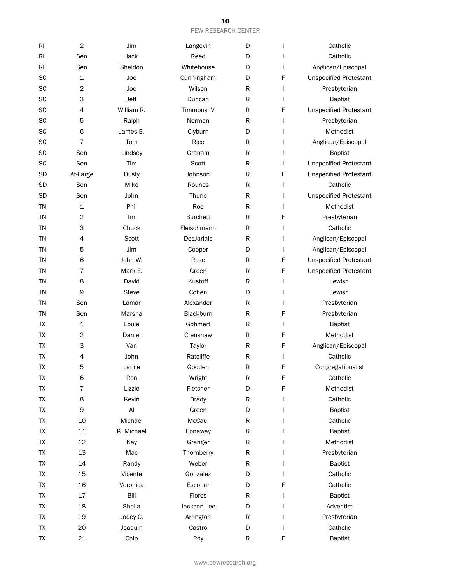| R <sub>l</sub> | $\overline{c}$ | Jim        | Langevin          | D         |              | Catholic                      |
|----------------|----------------|------------|-------------------|-----------|--------------|-------------------------------|
| RI             | Sen            | Jack       | Reed              | D         |              | Catholic                      |
| R <sub>l</sub> | Sen            | Sheldon    | Whitehouse        | D         | I.           | Anglican/Episcopal            |
| SC             | 1              | Joe        | Cunningham        | D         | F            | <b>Unspecified Protestant</b> |
| SC             | $\overline{c}$ | Joe        | Wilson            | R         | I            | Presbyterian                  |
| SC             | 3              | Jeff       | Duncan            | R         |              | <b>Baptist</b>                |
| SC             | 4              | William R. | <b>Timmons IV</b> | R         | F            | <b>Unspecified Protestant</b> |
| SC             | 5              | Ralph      | Norman            | R         | T            | Presbyterian                  |
| SC             | 6              | James E.   | Clyburn           | D         | I            | Methodist                     |
| SC             | 7              | Tom        | Rice              | R         |              | Anglican/Episcopal            |
| SC             | Sen            | Lindsey    | Graham            | R         |              | <b>Baptist</b>                |
| SC             | Sen            | Tim        | Scott             | R         |              | <b>Unspecified Protestant</b> |
| <b>SD</b>      | At-Large       | Dusty      | Johnson           | R         | F            | <b>Unspecified Protestant</b> |
| SD             | Sen            | Mike       | Rounds            | R         | $\mathsf{I}$ | Catholic                      |
| <b>SD</b>      | Sen            | John       | Thune             | R         |              | <b>Unspecified Protestant</b> |
| ΤN             | 1              | Phil       | Roe               | R         |              | Methodist                     |
| <b>TN</b>      | $\overline{c}$ | Tim        | <b>Burchett</b>   | R         | F            | Presbyterian                  |
| <b>TN</b>      | 3              | Chuck      | Fleischmann       | R         |              | Catholic                      |
| ΤN             | 4              | Scott      | <b>DesJarlais</b> | R         |              | Anglican/Episcopal            |
| <b>TN</b>      | 5              | Jim        | Cooper            | D         |              | Anglican/Episcopal            |
| <b>TN</b>      | 6              | John W.    | Rose              | R         | F            | <b>Unspecified Protestant</b> |
| <b>TN</b>      | 7              | Mark E.    | Green             | R         | F            | <b>Unspecified Protestant</b> |
| <b>TN</b>      | 8              | David      | Kustoff           | R         |              | Jewish                        |
| ΤN             | 9              | Steve      | Cohen             | D         |              | Jewish                        |
| ΤN             | Sen            | Lamar      | Alexander         | R         |              | Presbyterian                  |
| <b>TN</b>      | Sen            | Marsha     | Blackburn         | R         | F            | Presbyterian                  |
| <b>TX</b>      | 1              | Louie      | Gohmert           | R         | $\mathbf{I}$ | <b>Baptist</b>                |
| <b>TX</b>      | $\mathbf 2$    | Daniel     | Crenshaw          | R         | F            | Methodist                     |
| ТX             | 3              | Van        | Taylor            | R         | F            | Anglican/Episcopal            |
| ТX             | 4              | John       | Ratcliffe         | R         | $\mathbf{I}$ | Catholic                      |
| <b>TX</b>      | 5              | Lance      | Gooden            | R         | F            | Congregationalist             |
| TX             | 6              | Ron        | Wright            | R         | F            | Catholic                      |
| TX             | $\overline{7}$ | Lizzie     | Fletcher          | D         | F            | Methodist                     |
| <b>TX</b>      | 8              | Kevin      | <b>Brady</b>      | R         | J.           | Catholic                      |
| <b>TX</b>      | $\mathsf 9$    | AI         | Green             | D         | L            | <b>Baptist</b>                |
| <b>TX</b>      | 10             | Michael    | McCaul            | R         |              | Catholic                      |
| TX             | $11\,$         | K. Michael | Conaway           | R         |              | <b>Baptist</b>                |
| TX             | 12             | Kay        | Granger           | R         |              | Methodist                     |
| <b>TX</b>      | 13             | Mac        | Thornberry        | R         | $\mathbf{I}$ | Presbyterian                  |
| <b>TX</b>      | 14             | Randy      | Weber             | ${\sf R}$ | $\mathbf{I}$ | <b>Baptist</b>                |
| TX             | 15             | Vicente    | Gonzalez          | D         | $\mathbf{I}$ | Catholic                      |
| TX             | 16             | Veronica   | Escobar           | D         | F            | Catholic                      |
| TX             | $17\,$         | Bill       | Flores            | R         | I            | <b>Baptist</b>                |
| TX             | 18             | Sheila     | Jackson Lee       | D         | $\mathbf{I}$ | Adventist                     |
| TX             | 19             | Jodey C.   | Arrington         | ${\sf R}$ | $\mathbf{I}$ | Presbyterian                  |
| <b>TX</b>      | 20             | Joaquin    | Castro            | D         | $\mathbf{I}$ | Catholic                      |
| ТX             | 21             | Chip       | Roy               | R         | F            | <b>Baptist</b>                |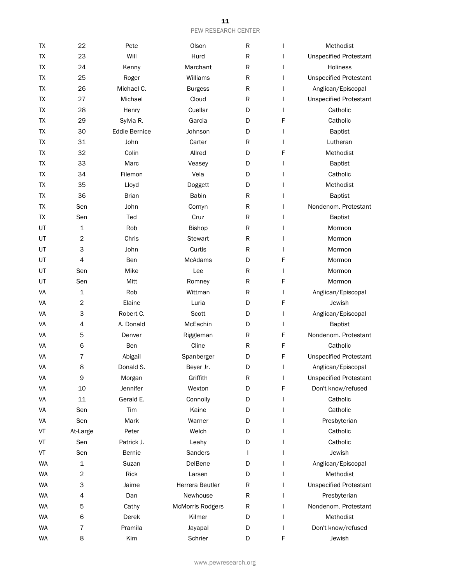| <b>TX</b> | 22             | Pete                 | Olson                   | R           | ı            | Methodist                     |
|-----------|----------------|----------------------|-------------------------|-------------|--------------|-------------------------------|
| TX        | 23             | Will                 | Hurd                    | ${\sf R}$   | $\mathbf{I}$ | <b>Unspecified Protestant</b> |
| <b>TX</b> | 24             | Kenny                | Marchant                | ${\sf R}$   | L            | Holiness                      |
| <b>TX</b> | 25             | Roger                | Williams                | R           | L            | <b>Unspecified Protestant</b> |
| <b>ΤΧ</b> | 26             | Michael C.           | <b>Burgess</b>          | ${\sf R}$   | $\mathbf{I}$ | Anglican/Episcopal            |
| <b>TX</b> | 27             | Michael              | Cloud                   | ${\sf R}$   | $\mathbf{I}$ | <b>Unspecified Protestant</b> |
| <b>TX</b> | 28             | Henry                | Cuellar                 | D           | $\mathbf{I}$ | Catholic                      |
| <b>TX</b> | 29             | Sylvia R.            | Garcia                  | D           | F            | Catholic                      |
| TX        | 30             | <b>Eddie Bernice</b> | Johnson                 | D           | $\mathbf{I}$ | <b>Baptist</b>                |
| <b>ΤΧ</b> | 31             | John                 | Carter                  | $\mathsf R$ | $\mathbf{I}$ | Lutheran                      |
| <b>TX</b> | 32             | Colin                | Allred                  | D           | F            | Methodist                     |
| <b>TX</b> | 33             | Marc                 | Veasey                  | D           | L            | <b>Baptist</b>                |
| <b>TX</b> | 34             | Filemon              | Vela                    | D           | $\mathbf{I}$ | Catholic                      |
| <b>TX</b> | 35             | Lloyd                | Doggett                 | D           |              | Methodist                     |
| TX        | 36             | <b>Brian</b>         | <b>Babin</b>            | R           | I            | <b>Baptist</b>                |
| TX        | Sen            | John                 | Cornyn                  | R           |              | Nondenom. Protestant          |
| <b>TX</b> | Sen            | Ted                  | Cruz                    | R           |              | <b>Baptist</b>                |
| UT        | 1              | Rob                  | Bishop                  | ${\sf R}$   |              | Mormon                        |
| UT        | $\overline{c}$ | Chris                | <b>Stewart</b>          | ${\sf R}$   |              | Mormon                        |
| UT        | 3              | John                 | Curtis                  | R           |              | Mormon                        |
| UT        | 4              | Ben                  | McAdams                 | D           | F            | Mormon                        |
| UT        | Sen            | Mike                 | Lee                     | R           | $\mathbf{I}$ | Mormon                        |
| UT        | Sen            | Mitt                 | Romney                  | R           | F            | Mormon                        |
| VA        | 1              | Rob                  | Wittman                 | R           | $\mathbf{I}$ | Anglican/Episcopal            |
| VA        | $\overline{c}$ | Elaine               | Luria                   | D           | F            | Jewish                        |
| VA        | 3              | Robert C.            | Scott                   | D           | $\mathbf{I}$ | Anglican/Episcopal            |
| VA        | 4              | A. Donald            | McEachin                | D           | $\mathbf{I}$ | <b>Baptist</b>                |
| VA        | 5              | Denver               | Riggleman               | R           | F            | Nondenom. Protestant          |
| VA        | 6              | Ben                  | Cline                   | R           | F            | Catholic                      |
| VA        | 7              | Abigail              | Spanberger              | D           | F            | <b>Unspecified Protestant</b> |
| VA        | 8              | Donald S.            | Beyer Jr.               | D           | $\mathbf{I}$ | Anglican/Episcopal            |
| VA        | 9              | Morgan               | Griffith                | R           | $\mathbf{I}$ | <b>Unspecified Protestant</b> |
| VA        | 10             | Jennifer             | Wexton                  | D           | F            | Don't know/refused            |
| VA        | 11             | Gerald E.            | Connolly                | D           | L            | Catholic                      |
| VA        | Sen            | Tim                  | Kaine                   | D           | L            | Catholic                      |
| VA        | Sen            | Mark                 | Warner                  | D           |              | Presbyterian                  |
| VT        | At-Large       | Peter                | Welch                   | D           |              | Catholic                      |
| VT        | Sen            | Patrick J.           | Leahy                   | D           |              | Catholic                      |
| VT        | Sen            | <b>Bernie</b>        | Sanders                 | T           |              | Jewish                        |
| WA        | 1              | Suzan                | DelBene                 | D           |              | Anglican/Episcopal            |
| WA        | $\overline{c}$ | Rick                 | Larsen                  | D           | $\mathbf{I}$ | Methodist                     |
| WA        | 3              | Jaime                | Herrera Beutler         | R           | I.           | <b>Unspecified Protestant</b> |
| WA        | 4              | Dan                  | Newhouse                | R           | $\mathbf{I}$ | Presbyterian                  |
| WA        | 5              | Cathy                | <b>McMorris Rodgers</b> | R           | L            | Nondenom. Protestant          |
| <b>WA</b> | 6              | Derek                | Kilmer                  | D           | $\mathbf{I}$ | Methodist                     |
| WA        | 7              | Pramila              | Jayapal                 | D           |              | Don't know/refused            |
| WA        | 8              | Kim                  | Schrier                 | D           | F            | Jewish                        |